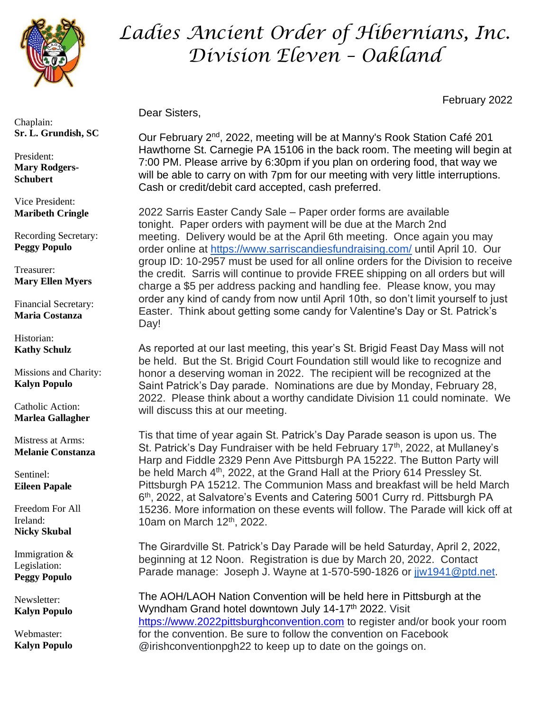

Chaplain: **Sr. L. Grundish, SC**

President: **Mary Rodgers-Schubert**

Vice President: **Maribeth Cringle**

Recording Secretary: **Peggy Populo**

Treasurer: **Mary Ellen Myers**

Financial Secretary: **Maria Costanza**

Historian: **Kathy Schulz**

Missions and Charity: **Kalyn Populo**

Catholic Action: **Marlea Gallagher**

Mistress at Arms: **Melanie Constanza**

Sentinel: **Eileen Papale**

Freedom For All Ireland: **Nicky Skubal**

Immigration & Legislation: **Peggy Populo**

Newsletter: **Kalyn Populo**

Webmaster: **Kalyn Populo**

## *Ladies Ancient Order of Hibernians, Inc. Division Eleven – Oakland*

February 2022

Dear Sisters,

Our February 2nd, 2022, meeting will be at Manny's Rook Station Café 201 Hawthorne St. Carnegie PA 15106 in the back room. The meeting will begin at 7:00 PM. Please arrive by 6:30pm if you plan on ordering food, that way we will be able to carry on with 7pm for our meeting with very little interruptions. Cash or credit/debit card accepted, cash preferred.

2022 Sarris Easter Candy Sale – Paper order forms are available tonight. Paper orders with payment will be due at the March 2nd meeting. Delivery would be at the April 6th meeting. Once again you may order online at <https://www.sarriscandiesfundraising.com/> until April 10. Our group ID: 10-2957 must be used for all online orders for the Division to receive the credit. Sarris will continue to provide FREE shipping on all orders but will charge a \$5 per address packing and handling fee. Please know, you may order any kind of candy from now until April 10th, so don't limit yourself to just Easter. Think about getting some candy for Valentine's Day or St. Patrick's Day!

As reported at our last meeting, this year's St. Brigid Feast Day Mass will not be held. But the St. Brigid Court Foundation still would like to recognize and honor a deserving woman in 2022. The recipient will be recognized at the Saint Patrick's Day parade. Nominations are due by Monday, February 28, 2022. Please think about a worthy candidate Division 11 could nominate. We will discuss this at our meeting.

Tis that time of year again St. Patrick's Day Parade season is upon us. The St. Patrick's Day Fundraiser with be held February 17<sup>th</sup>, 2022, at Mullaney's Harp and Fiddle 2329 Penn Ave Pittsburgh PA 15222. The Button Party will be held March 4<sup>th</sup>, 2022, at the Grand Hall at the Priory 614 Pressley St. Pittsburgh PA 15212. The Communion Mass and breakfast will be held March 6<sup>th</sup>, 2022, at Salvatore's Events and Catering 5001 Curry rd. Pittsburgh PA 15236. More information on these events will follow. The Parade will kick off at 10am on March 12th, 2022.

The Girardville St. Patrick's Day Parade will be held Saturday, April 2, 2022, beginning at 12 Noon. Registration is due by March 20, 2022. Contact Parade manage: Joseph J. Wayne at 1-570-590-1826 or [jjw1941@ptd.net.](mailto:jjw1941@ptd.net)

The AOH/LAOH Nation Convention will be held here in Pittsburgh at the Wyndham Grand hotel downtown July 14-17<sup>th</sup> 2022. Visit [https://www.2022pittsburghconvention.com](https://www.2022pittsburghconvention.com/) to register and/or book your room for the convention. Be sure to follow the convention on Facebook @irishconventionpgh22 to keep up to date on the goings on.